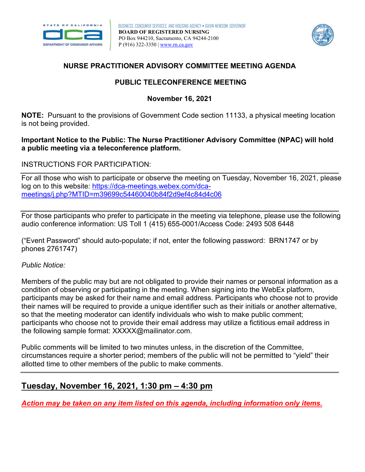



# **NURSE PRACTITIONER ADVISORY COMMITTEE MEETING AGENDA**

# **PUBLIC TELECONFERENCE MEETING**

**November 16, 2021** 

 is not being provided. **NOTE:** Pursuant to the provisions of Government Code section 11133, a physical meeting location

### **Important Notice to the Public: The Nurse Practitioner Advisory Committee (NPAC) will hold a public meeting via a teleconference platform.**

### INSTRUCTIONS FOR PARTICIPATION:

For all those who wish to participate or observe the meeting on Tuesday, November 16, 2021, please log on to this website: [https://dca-meetings.webex.com/dca](https://dca-meetings.webex.com/dca-meetings/j.php?MTID=m39699c54460040b84f2d9ef4c84d4c06)[meetings/j.php?MTID=m39699c54460040b84f2d9ef4c84d4c06](https://dca-meetings.webex.com/dca-meetings/j.php?MTID=m39699c54460040b84f2d9ef4c84d4c06) 

For those participants who prefer to participate in the meeting via telephone, please use the following audio conference information: US Toll 1 (415) 655-0001/Access Code: 2493 508 6448

 ("Event Password" should auto-populate; if not, enter the following password: BRN1747 or by phones 2761747)

#### *Public Notice:*

 Members of the public may but are not obligated to provide their names or personal information as a condition of observing or participating in the meeting. When signing into the WebEx platform, participants may be asked for their name and email address. Participants who choose not to provide their names will be required to provide a unique identifier such as their initials or another alternative, so that the meeting moderator can identify individuals who wish to make public comment; participants who choose not to provide their email address may utilize a fictitious email address in the following sample format: [XXXXX@mailinator.com.](mailto:XXXXX@mailinator.com)

Public comments will be limited to two minutes unless, in the discretion of the Committee, circumstances require a shorter period; members of the public will not be permitted to "yield" their allotted time to other members of the public to make comments.

# **Tuesday, November 16, 2021, 1:30 pm – 4:30 pm**

*Action may be taken on any item listed on this agenda, including information only items.*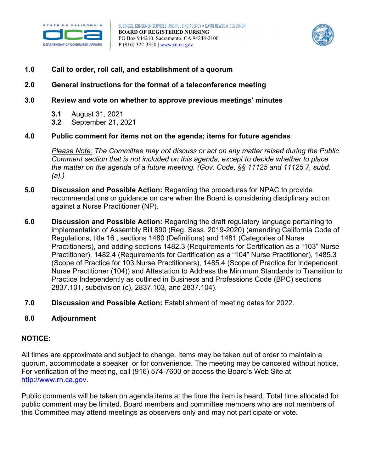



## Call to order, roll call, and establishment of a quorum

# 1.0 Call to order, roll call, and establishment of a quorum<br>2.0 General instructions for the format of a teleconference meeting

### **3.0 Review and vote on whether to approve previous meetings' minutes**

- **3.1** August 31, 2021
- $3.2$ **3.2** September 21, 2021

#### **4.0 Public comment for items not on the agenda; items for future agendas**

 *Please Note: The Committee may not discuss or act on any matter raised during the Public Comment section that is not included on this agenda, except to decide whether to place the matter on the agenda of a future meeting. (Gov. Code, §§ 11125 and 11125.7, subd. (a).)* 

- **5.0 Discussion and Possible Action:** Regarding the procedures for NPAC to provide recommendations or guidance on care when the Board is considering disciplinary action against a Nurse Practitioner (NP).
- **6.0 Discussion and Possible Action:** Regarding the draft regulatory language pertaining to implementation of Assembly Bill 890 (Reg. Sess. 2019-2020) (amending California Code of Regulations, title 16 , sections 1480 (Definitions) and 1481 (Categories of Nurse Practitioners), and adding sections 1482.3 (Requirements for Certification as a "103" Nurse Practitioner), 1482.4 (Requirements for Certification as a "104" Nurse Practitioner), 1485.3 (Scope of Practice for 103 Nurse Practitioners), 1485.4 (Scope of Practice for Independent Nurse Practitioner (104)) and Attestation to Address the Minimum Standards to Transition to Practice Independently as outlined in Business and Professions Code (BPC) sections 2837.101, subdivision (c), 2837.103, and 2837.104).
- **7.0 Discussion and Possible Action:** Establishment of meeting dates for 2022.

#### **8.0 Adjournment**

#### **NOTICE:**

http://www.rn.ca.gov. All times are approximate and subject to change. Items may be taken out of order to maintain a quorum, accommodate a speaker, or for convenience. The meeting may be canceled without notice. For verification of the meeting, call (916) 574-7600 or access the Board's Web Site at

Public comments will be taken on agenda items at the time the item is heard. Total time allocated for public comment may be limited. Board members and committee members who are not members of this Committee may attend meetings as observers only and may not participate or vote.